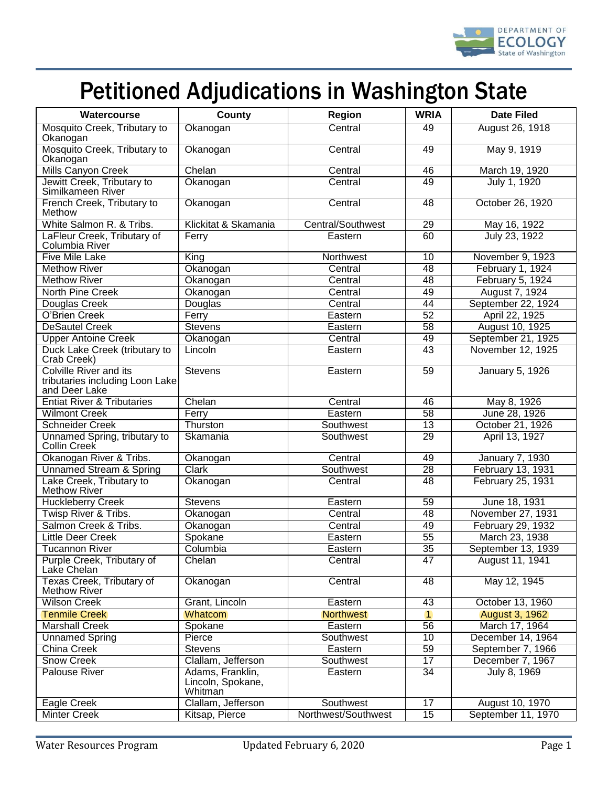

## Petitioned Adjudications in Washington State

| Watercourse                                                                       | County                                           | <b>Region</b>       | <b>WRIA</b>     | <b>Date Filed</b>     |
|-----------------------------------------------------------------------------------|--------------------------------------------------|---------------------|-----------------|-----------------------|
| Mosquito Creek, Tributary to<br>Okanogan                                          | Okanogan                                         | Central             | 49              | August 26, 1918       |
| Mosquito Creek, Tributary to<br>Okanogan                                          | Okanogan                                         | Central             | 49              | May 9, 1919           |
| <b>Mills Canyon Creek</b>                                                         | Chelan                                           | Central             | 46              | March 19, 1920        |
| Jewitt Creek, Tributary to<br>Similkameen River                                   | Okanogan                                         | Central             | 49              | July 1, 1920          |
| French Creek, Tributary to<br>Methow                                              | Okanogan                                         | Central             | 48              | October 26, 1920      |
| White Salmon R. & Tribs.                                                          | Klickitat & Skamania                             | Central/Southwest   | 29              | May 16, 1922          |
| LaFleur Creek, Tributary of<br>Columbia River                                     | Ferry                                            | Eastern             | 60              | July 23, 1922         |
| <b>Five Mile Lake</b>                                                             | King                                             | Northwest           | 10              | November 9, 1923      |
| <b>Methow River</b>                                                               | Okanogan                                         | Central             | 48              | February 1, 1924      |
| <b>Methow River</b>                                                               | Okanogan                                         | Central             | 48              | February 5, 1924      |
| North Pine Creek                                                                  | Okanogan                                         | Central             | 49              | August 7, 1924        |
| Douglas Creek                                                                     | Douglas                                          | Central             | 44              | September 22, 1924    |
| O'Brien Creek                                                                     | Ferry                                            | Eastern             | 52              | April 22, 1925        |
| <b>DeSautel Creek</b>                                                             | <b>Stevens</b>                                   | Eastern             | 58              | August 10, 1925       |
| <b>Upper Antoine Creek</b>                                                        | Okanogan                                         | Central             | 49              | September 21, 1925    |
| Duck Lake Creek (tributary to<br>Crab Creek)                                      | Lincoln                                          | Eastern             | 43              | November 12, 1925     |
| <b>Colville River and its</b><br>tributaries including Loon Lake<br>and Deer Lake | <b>Stevens</b>                                   | Eastern             | 59              | January 5, 1926       |
| <b>Entiat River &amp; Tributaries</b>                                             | Chelan                                           | Central             | 46              | May 8, 1926           |
| <b>Wilmont Creek</b>                                                              | Ferry                                            | Eastern             | 58              | June 28, 1926         |
| <b>Schneider Creek</b>                                                            | Thurston                                         | Southwest           | 13              | October 21, 1926      |
| Unnamed Spring, tributary to<br><b>Collin Creek</b>                               | Skamania                                         | Southwest           | 29              | April 13, 1927        |
| Okanogan River & Tribs.                                                           | Okanogan                                         | Central             | 49              | January 7, 1930       |
| <b>Unnamed Stream &amp; Spring</b>                                                | <b>Clark</b>                                     | Southwest           | 28              | February 13, 1931     |
| Lake Creek, Tributary to<br><b>Methow River</b>                                   | Okanogan                                         | Central             | 48              | February 25, 1931     |
| <b>Huckleberry Creek</b>                                                          | <b>Stevens</b>                                   | Eastern             | $\overline{59}$ | June 18, 1931         |
| Twisp River & Tribs.                                                              | Okanogan                                         | Central             | 48              | November 27, 1931     |
| Salmon Creek & Tribs.                                                             | Okanogan                                         | Central             | 49              | February 29, 1932     |
| <b>Little Deer Creek</b>                                                          | Spokane                                          | Eastern             | $\overline{55}$ | March 23, 1938        |
| <b>Tucannon River</b>                                                             | Columbia                                         | Eastern             | $\overline{35}$ | September 13, 1939    |
| Purple Creek, Tributary of<br>Lake Chelan                                         | Chelan                                           | Central             | 47              | August 11, 1941       |
| <b>Texas Creek, Tributary of</b><br>Methow River                                  | Okanogan                                         | Central             | 48              | May 12, 1945          |
| <b>Wilson Creek</b>                                                               | Grant, Lincoln                                   | Eastern             | 43              | October 13, 1960      |
| <b>Tenmile Creek</b>                                                              | Whatcom                                          | <b>Northwest</b>    | $\overline{1}$  | <b>August 3, 1962</b> |
| <b>Marshall Creek</b>                                                             | Spokane                                          | Eastern             | $\overline{56}$ | March 17, 1964        |
| <b>Unnamed Spring</b>                                                             | Pierce                                           | Southwest           | 10              | December 14, 1964     |
| China Creek                                                                       | <b>Stevens</b>                                   | Eastern             | 59              | September 7, 1966     |
| <b>Snow Creek</b>                                                                 | Clallam, Jefferson                               | Southwest           | $\overline{17}$ | December 7, 1967      |
| <b>Palouse River</b>                                                              | Adams, Franklin,<br>Lincoln, Spokane,<br>Whitman | Eastern             | $\overline{34}$ | July 8, 1969          |
| Eagle Creek                                                                       | Clallam, Jefferson                               | Southwest           | 17              | August 10, 1970       |
| <b>Minter Creek</b>                                                               | Kitsap, Pierce                                   | Northwest/Southwest | $\overline{15}$ | September 11, 1970    |